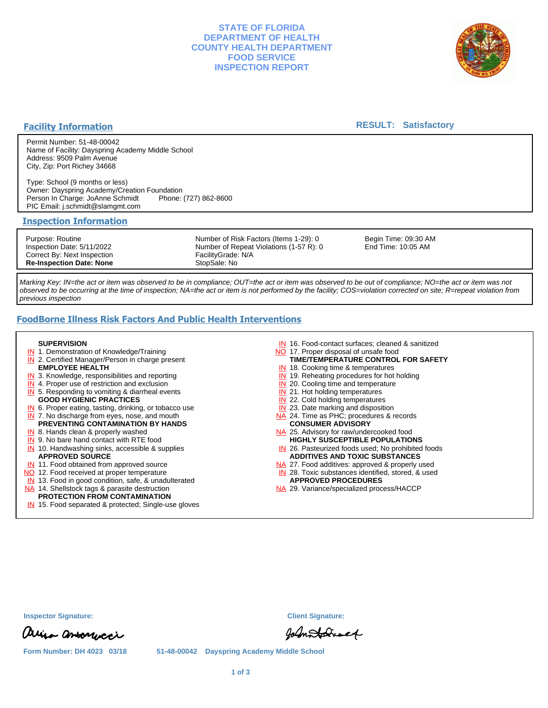# **STATE OF FLORIDA DEPARTMENT OF HEALTH COUNTY HEALTH DEPARTMENT FOOD SERVICE INSPECTION REPORT**



# **Facility Information**

## **RESULT: Satisfactory**

Permit Number: 51-48-00042 Name of Facility: Dayspring Academy Middle School Address: 9509 Palm Avenue City, Zip: Port Richey 34668

Type: School (9 months or less) Owner: Dayspring Academy/Creation Foundation Person In Charge: JoAnne Schmidt PIC Email: j.schmidt@slamgmt.com

### **Inspection Information**

Purpose: Routine Inspection Date: 5/11/2022 Correct By: Next Inspection **Re-Inspection Date: None**

Number of Risk Factors (Items 1-29): 0 Number of Repeat Violations (1-57 R): 0 FacilityGrade: N/A StopSale: No

Begin Time: 09:30 AM End Time: 10:05 AM

Marking Key: IN=the act or item was observed to be in compliance; OUT=the act or item was observed to be out of compliance; NO=the act or item was not observed to be occurring at the time of inspection; NA=the act or item is not performed by the facility; COS=violation corrected on site; R=repeat violation from previous inspection

# **FoodBorne Illness Risk Factors And Public Health Interventions**

#### **SUPERVISION**

- **IN** 1. Demonstration of Knowledge/Training
- **IN** 2. Certified Manager/Person in charge present **EMPLOYEE HEALTH**
- **IN** 3. Knowledge, responsibilities and reporting
- **IN** 4. Proper use of restriction and exclusion
- **IN** 5. Responding to vomiting & diarrheal events
- **GOOD HYGIENIC PRACTICES**
- **IN** 6. Proper eating, tasting, drinking, or tobacco use **IN** 7. No discharge from eyes, nose, and mouth
- **PREVENTING CONTAMINATION BY HANDS**
- IN 8. Hands clean & properly washed
- **IN** 9. No bare hand contact with RTE food IN 10. Handwashing sinks, accessible & supplies **APPROVED SOURCE**
- **IN** 11. Food obtained from approved source
- NO 12. Food received at proper temperature
- IN 13. Food in good condition, safe, & unadulterated
- NA 14. Shellstock tags & parasite destruction

## **PROTECTION FROM CONTAMINATION**

IN 15. Food separated & protected; Single-use gloves

- IN 16. Food-contact surfaces; cleaned & sanitized
- NO 17. Proper disposal of unsafe food
- **TIME/TEMPERATURE CONTROL FOR SAFETY**
- IN 18. Cooking time & temperatures
- **IN** 19. Reheating procedures for hot holding **IN** 20. Cooling time and temperature
- IN 21. Hot holding temperatures
- **IN** 22. Cold holding temperatures
- **IN** 23. Date marking and disposition
- NA 24. Time as PHC; procedures & records **CONSUMER ADVISORY**
- NA 25. Advisory for raw/undercooked food **HIGHLY SUSCEPTIBLE POPULATIONS**
- IN 26. Pasteurized foods used; No prohibited foods **ADDITIVES AND TOXIC SUBSTANCES**
- NA 27. Food additives: approved & properly used
- IN 28. Toxic substances identified, stored, & used **APPROVED PROCEDURES**
- NA 29. Variance/specialized process/HACCP

**Inspector Signature: Client Signature:**

arina amonucci

Johnstatract

**Form Number: DH 4023 03/18 51-48-00042 Dayspring Academy Middle School**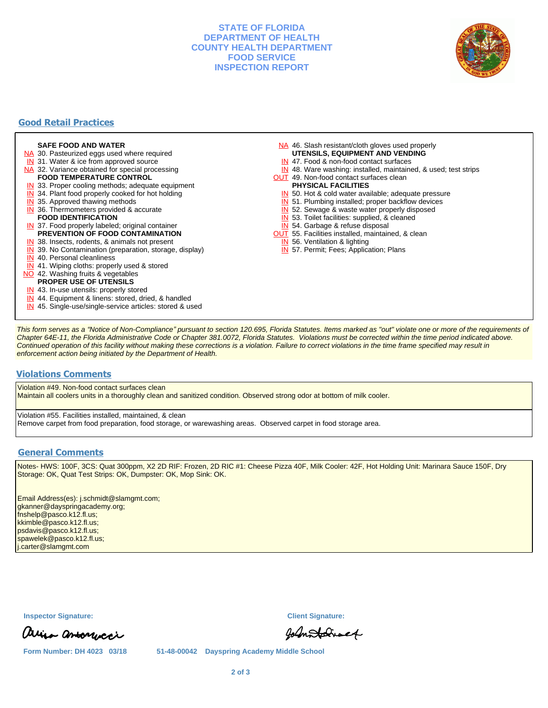# **STATE OF FLORIDA DEPARTMENT OF HEALTH COUNTY HEALTH DEPARTMENT FOOD SERVICE INSPECTION REPORT**



# **Good Retail Practices**

#### **SAFE FOOD AND WATER**

- NA 30. Pasteurized eggs used where required
- IN 31. Water & ice from approved source
- NA 32. Variance obtained for special processing
- **FOOD TEMPERATURE CONTROL**
- **IN** 33. Proper cooling methods; adequate equipment
- **IN** 34. Plant food properly cooked for hot holding
- **IN** 35. Approved thawing methods
- IN 36. Thermometers provided & accurate **FOOD IDENTIFICATION**
- IN 37. Food properly labeled; original container **PREVENTION OF FOOD CONTAMINATION**
- IN 38. Insects, rodents, & animals not present
- **IN** 39. No Contamination (preparation, storage, display)
- IN 40. Personal cleanliness
- IN 41. Wiping cloths: properly used & stored
- NO 42. Washing fruits & vegetables
	- **PROPER USE OF UTENSILS**
- IN 43. In-use utensils: properly stored
- IN 44. Equipment & linens: stored, dried, & handled
- IN 45. Single-use/single-service articles: stored & used
- NA 46. Slash resistant/cloth gloves used properly **UTENSILS, EQUIPMENT AND VENDING**
- IN 47. Food & non-food contact surfaces
- IN 48. Ware washing: installed, maintained, & used; test strips
- **OUT** 49. Non-food contact surfaces clean

#### **PHYSICAL FACILITIES**

- IN 50. Hot & cold water available; adequate pressure
- IN 51. Plumbing installed; proper backflow devices
- IN 52. Sewage & waste water properly disposed
- IN 53. Toilet facilities: supplied, & cleaned
- IN 54. Garbage & refuse disposal
- **OUT** 55. Facilities installed, maintained, & clean
- IN 56. Ventilation & lighting
- IN 57. Permit; Fees; Application; Plans

This form serves as a "Notice of Non-Compliance" pursuant to section 120.695, Florida Statutes. Items marked as "out" violate one or more of the requirements of Chapter 64E-11, the Florida Administrative Code or Chapter 381.0072, Florida Statutes. Violations must be corrected within the time period indicated above. Continued operation of this facility without making these corrections is a violation. Failure to correct violations in the time frame specified may result in enforcement action being initiated by the Department of Health.

## **Violations Comments**

Violation #49. Non-food contact surfaces clean

Maintain all coolers units in a thoroughly clean and sanitized condition. Observed strong odor at bottom of milk cooler.

Violation #55. Facilities installed, maintained, & clean Remove carpet from food preparation, food storage, or warewashing areas. Observed carpet in food storage area.

### **General Comments**

Notes- HWS: 100F, 3CS: Quat 300ppm, X2 2D RIF: Frozen, 2D RIC #1: Cheese Pizza 40F, Milk Cooler: 42F, Hot Holding Unit: Marinara Sauce 150F, Dry Storage: OK, Quat Test Strips: OK, Dumpster: OK, Mop Sink: OK.

Email Address(es): j.schmidt@slamgmt.com; gkanner@dayspringacademy.org; fnshelp@pasco.k12.fl.us; kkimble@pasco.k12.fl.us; psdavis@pasco.k12.fl.us; spawelek@pasco.k12.fl.us; j.carter@slamgmt.com

**Inspector Signature: Client Signature:**

arina amonucci

Johnstatract

**Form Number: DH 4023 03/18 51-48-00042 Dayspring Academy Middle School**